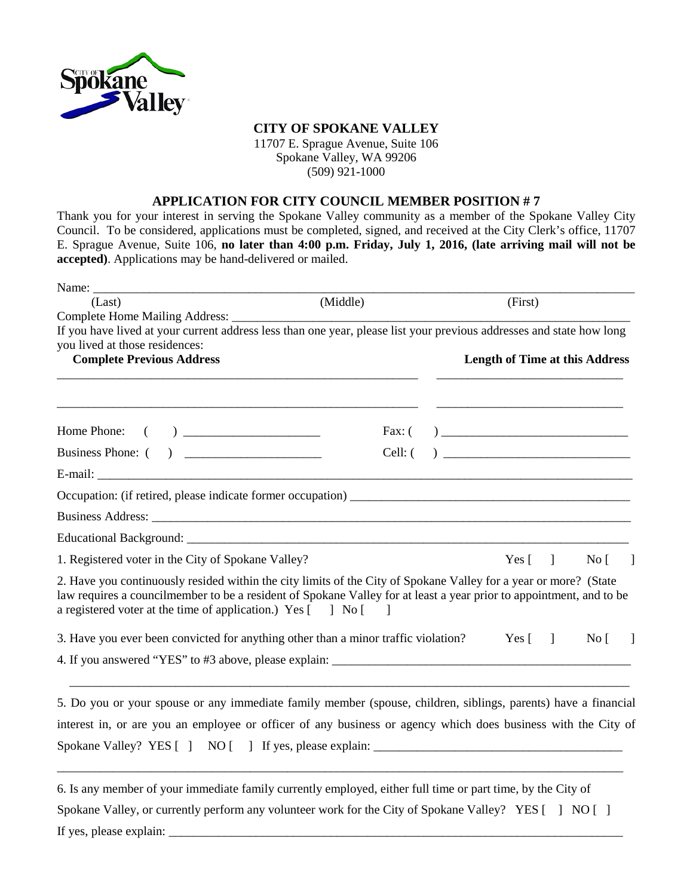

## **CITY OF SPOKANE VALLEY**

11707 E. Sprague Avenue, Suite 106 Spokane Valley, WA 99206 (509) 921-1000

## **APPLICATION FOR CITY COUNCIL MEMBER POSITION # 7**

Thank you for your interest in serving the Spokane Valley community as a member of the Spokane Valley City Council. To be considered, applications must be completed, signed, and received at the City Clerk's office, 11707 E. Sprague Avenue, Suite 106, **no later than 4:00 p.m. Friday, July 1, 2016, (late arriving mail will not be accepted)**. Applications may be hand-delivered or mailed.

| Name: $\_\_$                                                                                                                                                                                                                                                                                            |           |                                       |                  |  |
|---------------------------------------------------------------------------------------------------------------------------------------------------------------------------------------------------------------------------------------------------------------------------------------------------------|-----------|---------------------------------------|------------------|--|
| (Last)                                                                                                                                                                                                                                                                                                  | (Middle)  | (First)                               |                  |  |
|                                                                                                                                                                                                                                                                                                         |           |                                       |                  |  |
| If you have lived at your current address less than one year, please list your previous addresses and state how long                                                                                                                                                                                    |           |                                       |                  |  |
| you lived at those residences:<br><b>Complete Previous Address</b>                                                                                                                                                                                                                                      |           | <b>Length of Time at this Address</b> |                  |  |
|                                                                                                                                                                                                                                                                                                         |           |                                       |                  |  |
|                                                                                                                                                                                                                                                                                                         |           |                                       |                  |  |
|                                                                                                                                                                                                                                                                                                         |           |                                       |                  |  |
|                                                                                                                                                                                                                                                                                                         | $Cell:$ ( |                                       |                  |  |
|                                                                                                                                                                                                                                                                                                         |           |                                       |                  |  |
|                                                                                                                                                                                                                                                                                                         |           |                                       |                  |  |
|                                                                                                                                                                                                                                                                                                         |           |                                       |                  |  |
|                                                                                                                                                                                                                                                                                                         |           |                                       |                  |  |
| 1. Registered voter in the City of Spokane Valley?                                                                                                                                                                                                                                                      |           | Yes $\begin{bmatrix} 1 \end{bmatrix}$ | $\overline{N_0}$ |  |
| 2. Have you continuously resided within the city limits of the City of Spokane Valley for a year or more? (State<br>law requires a councilmember to be a resident of Spokane Valley for at least a year prior to appointment, and to be<br>a registered voter at the time of application.) Yes [ ] No [ |           |                                       |                  |  |
| 3. Have you ever been convicted for anything other than a minor traffic violation? Yes [120]                                                                                                                                                                                                            |           |                                       | $No$ $\vert$     |  |
|                                                                                                                                                                                                                                                                                                         |           |                                       |                  |  |
| 5. Do you or your spouse or any immediate family member (spouse, children, siblings, parents) have a financial                                                                                                                                                                                          |           |                                       |                  |  |
| interest in, or are you an employee or officer of any business or agency which does business with the City of                                                                                                                                                                                           |           |                                       |                  |  |
| Spokane Valley? YES [ ] NO [ ] If yes, please explain: __________________________                                                                                                                                                                                                                       |           |                                       |                  |  |
|                                                                                                                                                                                                                                                                                                         |           |                                       |                  |  |
| 6. Is any member of your immediate family currently employed, either full time or part time, by the City of                                                                                                                                                                                             |           |                                       |                  |  |
| Spokane Valley, or currently perform any volunteer work for the City of Spokane Valley? YES [] NO []                                                                                                                                                                                                    |           |                                       |                  |  |

If yes, please explain: \_\_\_\_\_\_\_\_\_\_\_\_\_\_\_\_\_\_\_\_\_\_\_\_\_\_\_\_\_\_\_\_\_\_\_\_\_\_\_\_\_\_\_\_\_\_\_\_\_\_\_\_\_\_\_\_\_\_\_\_\_\_\_\_\_\_\_\_\_\_\_\_\_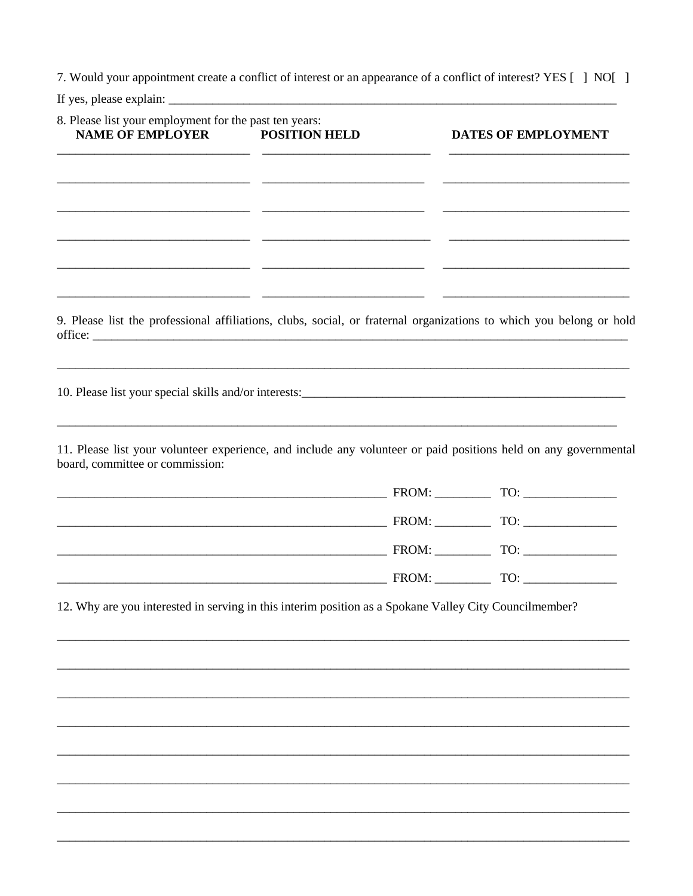7. Would your appointment create a conflict of interest or an appearance of a conflict of interest? YES [] NO[]

If yes, please explain:  $\frac{1}{2}$  =  $\frac{1}{2}$  =  $\frac{1}{2}$  =  $\frac{1}{2}$  =  $\frac{1}{2}$  =  $\frac{1}{2}$  =  $\frac{1}{2}$  =  $\frac{1}{2}$  =  $\frac{1}{2}$  =  $\frac{1}{2}$  =  $\frac{1}{2}$  =  $\frac{1}{2}$  =  $\frac{1}{2}$  =  $\frac{1}{2}$  =  $\frac{1}{2}$  =  $\frac{1}{2}$  =  $\frac{1$ 

| 8. Please list your employment for the past ten years:<br><b>NAME OF EMPLOYER</b>                      | <b>POSITION HELD</b> | DATES OF EMPLOYMENT                                                                                                   |
|--------------------------------------------------------------------------------------------------------|----------------------|-----------------------------------------------------------------------------------------------------------------------|
|                                                                                                        |                      |                                                                                                                       |
|                                                                                                        |                      |                                                                                                                       |
|                                                                                                        |                      |                                                                                                                       |
|                                                                                                        |                      |                                                                                                                       |
|                                                                                                        |                      | <u> 1989 - Johann Barbara, martxa alemaniar argumento estas políticas en la contrada de la contrada de la contrad</u> |
|                                                                                                        |                      |                                                                                                                       |
|                                                                                                        |                      | 9. Please list the professional affiliations, clubs, social, or fraternal organizations to which you belong or hold   |
|                                                                                                        |                      |                                                                                                                       |
|                                                                                                        |                      |                                                                                                                       |
|                                                                                                        |                      |                                                                                                                       |
| board, committee or commission:                                                                        |                      | 11. Please list your volunteer experience, and include any volunteer or paid positions held on any governmental       |
|                                                                                                        |                      |                                                                                                                       |
|                                                                                                        |                      |                                                                                                                       |
|                                                                                                        |                      |                                                                                                                       |
|                                                                                                        |                      |                                                                                                                       |
| 12. Why are you interested in serving in this interim position as a Spokane Valley City Councilmember? |                      |                                                                                                                       |
|                                                                                                        |                      |                                                                                                                       |
|                                                                                                        |                      |                                                                                                                       |
|                                                                                                        |                      |                                                                                                                       |
|                                                                                                        |                      |                                                                                                                       |
|                                                                                                        |                      |                                                                                                                       |
|                                                                                                        |                      |                                                                                                                       |
|                                                                                                        |                      |                                                                                                                       |
|                                                                                                        |                      |                                                                                                                       |